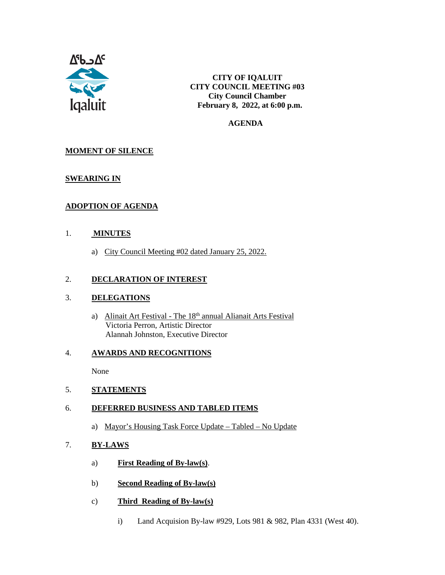

**CITY OF IQALUIT CITY COUNCIL MEETING #03 City Council Chamber February 8, 2022, at 6:00 p.m.**

#### **AGENDA**

# **MOMENT OF SILENCE**

## **SWEARING IN**

# **ADOPTION OF AGENDA**

### 1. **MINUTES**

a) City Council Meeting #02 dated January 25, 2022.

### 2. **DECLARATION OF INTEREST**

#### 3. **DELEGATIONS**

a) Alinait Art Festival - The 18<sup>th</sup> annual Alianait Arts Festival Victoria Perron, Artistic Director Alannah Johnston, Executive Director

#### 4. **AWARDS AND RECOGNITIONS**

None

#### 5. **STATEMENTS**

### 6. **DEFERRED BUSINESS AND TABLED ITEMS**

a) Mayor's Housing Task Force Update – Tabled – No Update

# 7. **BY-LAWS**

- a) **First Reading of By-law(s)**.
- b) **Second Reading of By-law(s)**
- c) **Third Reading of By-law(s)** 
	- i) Land Acquision By-law #929, Lots 981 & 982, Plan 4331 (West 40).